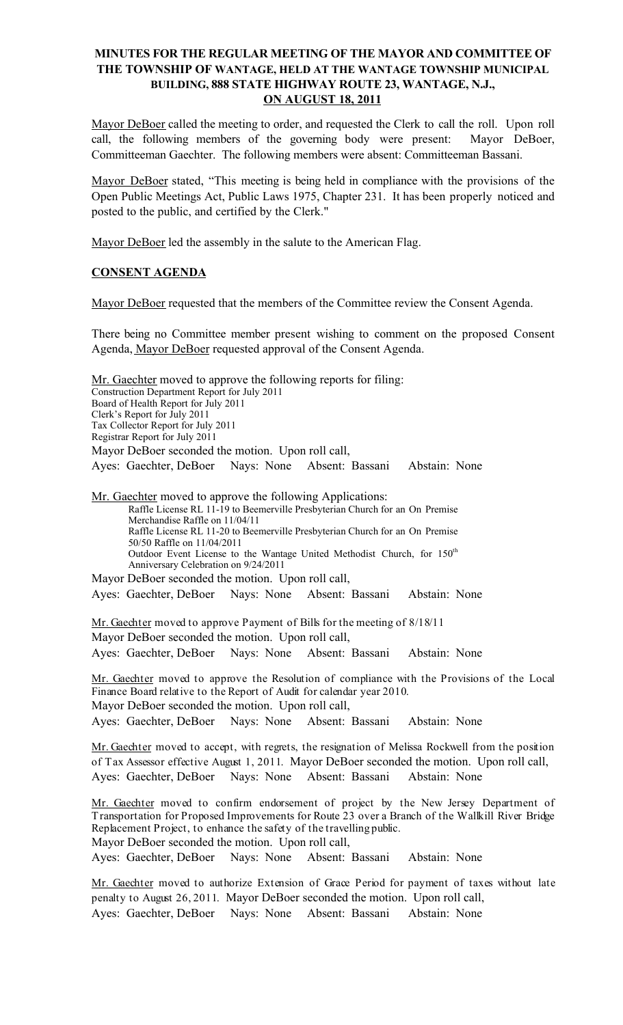# MINUTES FOR THE REGULAR MEETING OF THE MAYOR AND COMMITTEE OF THE TOWNSHIP OF WANTAGE, HELD AT THE WANTAGE TOWNSHIP MUNICIPAL BUILDING, 888 STATE HIGHWAY ROUTE 23, WANTAGE, N.J., ON AUGUST 18, 2011

Mayor DeBoer called the meeting to order, and requested the Clerk to call the roll. Upon roll call, the following members of the governing body were present: Mayor DeBoer, Committeeman Gaechter. The following members were absent: Committeeman Bassani.

Mayor DeBoer stated, "This meeting is being held in compliance with the provisions of the Open Public Meetings Act, Public Laws 1975, Chapter 231. It has been properly noticed and posted to the public, and certified by the Clerk."

Mayor DeBoer led the assembly in the salute to the American Flag.

# CONSENT AGENDA

Mayor DeBoer requested that the members of the Committee review the Consent Agenda.

There being no Committee member present wishing to comment on the proposed Consent Agenda, Mayor DeBoer requested approval of the Consent Agenda.

Mr. Gaechter moved to approve the following reports for filing: Construction Department Report for July 2011 Board of Health Report for July 2011 Clerk's Report for July 2011 Tax Collector Report for July 2011 Registrar Report for July 2011 Mayor DeBoer seconded the motion. Upon roll call, Ayes: Gaechter, DeBoer Nays: None Absent: Bassani Abstain: None Mr. Gaechter moved to approve the following Applications: Raffle License RL 11-19 to Beemerville Presbyterian Church for an On Premise

Merchandise Raffle on 11/04/11 Raffle License RL 11-20 to Beemerville Presbyterian Church for an On Premise 50/50 Raffle on 11/04/2011 Outdoor Event License to the Wantage United Methodist Church, for 150<sup>th</sup> Anniversary Celebration on 9/24/2011 Mayor DeBoer seconded the motion. Upon roll call,

Ayes: Gaechter, DeBoer Nays: None Absent: Bassani Abstain: None

Mr. Gaechter moved to approve Payment of Bills for the meeting of 8/18/11 Mayor DeBoer seconded the motion. Upon roll call, Ayes: Gaechter, DeBoer Nays: None Absent: Bassani Abstain: None

Mr. Gaechter moved to approve the Resolution of compliance with the Provisions of the Local Finance Board relative to the Report of Audit for calendar year 2010. Mayor DeBoer seconded the motion. Upon roll call, Ayes: Gaechter, DeBoer Nays: None Absent: Bassani Abstain: None

Mr. Gaechter moved to accept, with regrets, the resignation of Melissa Rockwell from the position of Tax Assessor effective August 1, 2011. Mayor DeBoer seconded the motion. Upon roll call, Ayes: Gaechter, DeBoer Nays: None Absent: Bassani Abstain: None

Mr. Gaechter moved to confirm endorsement of project by the New Jersey Department of Transportation for Proposed Improvements for Route 23 over a Branch of the Wallkill River Bridge Replacement Project, to enhance the safety of the travelling public. Mayor DeBoer seconded the motion. Upon roll call,

Ayes: Gaechter, DeBoer Nays: None Absent: Bassani Abstain: None

Mr. Gaechter moved to authorize Extension of Grace Period for payment of taxes without late penalty to August 26, 2011. Mayor DeBoer seconded the motion. Upon roll call, Ayes: Gaechter, DeBoer Nays: None Absent: Bassani Abstain: None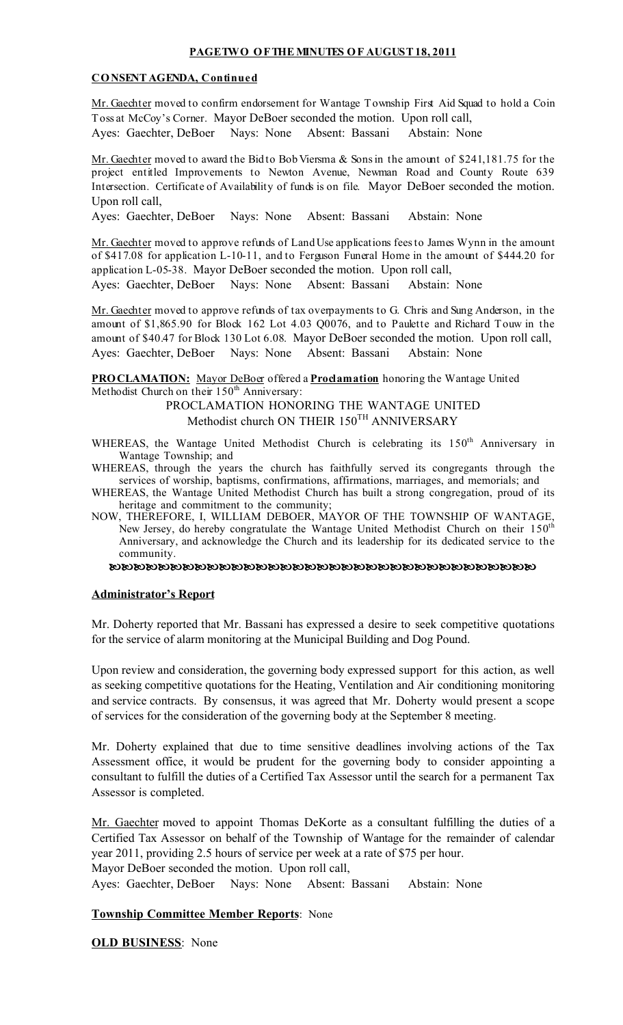## PAGETWO OFTHEMINUTES OF AUGUST18, 2011

#### CONSENT AGENDA, Continued

Mr. Gaechter moved to confirm endorsement for Wantage Township First Aid Squad to hold a Coin Toss at McCoy's Corner. Mayor DeBoer seconded the motion. Upon roll call, Ayes: Gaechter, DeBoer Nays: None Absent: Bassani Abstain: None

Mr. Gaechter moved to award the Bid to Bob Viersma & Sons in the amount of \$241,181.75 for the project entitled Improvements to Newton Avenue, Newman Road and County Route 639 Intersection. Certificate of Availability of funds is on file. Mayor DeBoer seconded the motion. Upon roll call,

Ayes: Gaechter, DeBoer Nays: None Absent: Bassani Abstain: None

Mr. Gaechter moved to approve refunds of LandUse applications feesto James Wynn in the amount of \$417.08 for application L-10-11, and to Ferguson Funeral Home in the amount of \$444.20 for application L-05-38. Mayor DeBoer seconded the motion. Upon roll call,

Ayes: Gaechter, DeBoer Nays: None Absent: Bassani Abstain: None

Mr. Gaechter moved to approve refunds of tax overpayments to G. Chris and Sung Anderson, in the amount of \$1,865.90 for Block 162 Lot 4.03 Q0076, and to Paulette and Richard Touw in the amount of \$40.47 for Block 130 Lot 6.08. Mayor DeBoer seconded the motion. Upon roll call, Ayes: Gaechter, DeBoer Nays: None Absent: Bassani Abstain: None

**PROCLAMATION:** Mayor DeBoer offered a **Proclamation** honoring the Wantage United Methodist Church on their  $150<sup>th</sup>$  Anniversary:

PROCLAMATION HONORING THE WANTAGE UNITED Methodist church ON THEIR 150<sup>TH</sup> ANNIVERSARY

WHEREAS, the Wantage United Methodist Church is celebrating its 150<sup>th</sup> Anniversary in Wantage Township; and

WHEREAS, through the years the church has faithfully served its congregants through the services of worship, baptisms, confirmations, affirmations, marriages, and memorials; and

WHEREAS, the Wantage United Methodist Church has built a strong congregation, proud of its heritage and commitment to the community;

NOW, THEREFORE, I, WILLIAM DEBOER, MAYOR OF THE TOWNSHIP OF WANTAGE, New Jersey, do hereby congratulate the Wantage United Methodist Church on their 150th Anniversary, and acknowledge the Church and its leadership for its dedicated service to the community.

#### Administrator's Report

Mr. Doherty reported that Mr. Bassani has expressed a desire to seek competitive quotations for the service of alarm monitoring at the Municipal Building and Dog Pound.

Upon review and consideration, the governing body expressed support for this action, as well as seeking competitive quotations for the Heating, Ventilation and Air conditioning monitoring and service contracts. By consensus, it was agreed that Mr. Doherty would present a scope of services for the consideration of the governing body at the September 8 meeting.

Mr. Doherty explained that due to time sensitive deadlines involving actions of the Tax Assessment office, it would be prudent for the governing body to consider appointing a consultant to fulfill the duties of a Certified Tax Assessor until the search for a permanent Tax Assessor is completed.

Mr. Gaechter moved to appoint Thomas DeKorte as a consultant fulfilling the duties of a Certified Tax Assessor on behalf of the Township of Wantage for the remainder of calendar year 2011, providing 2.5 hours of service per week at a rate of \$75 per hour. Mayor DeBoer seconded the motion. Upon roll call,

Ayes: Gaechter, DeBoer Nays: None Absent: Bassani Abstain: None

## **Township Committee Member Reports: None**

**OLD BUSINESS:** None